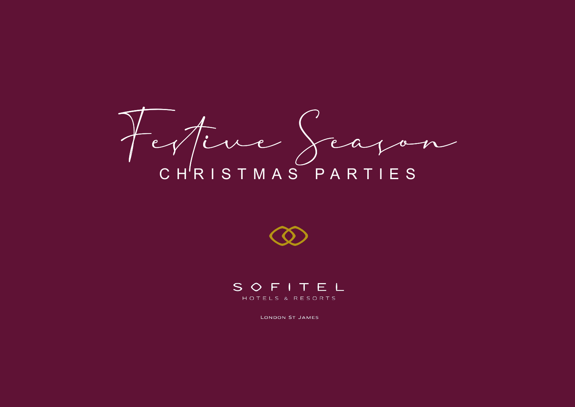Festive Season CHRISTMAS PARTIES





LONDON ST JAMES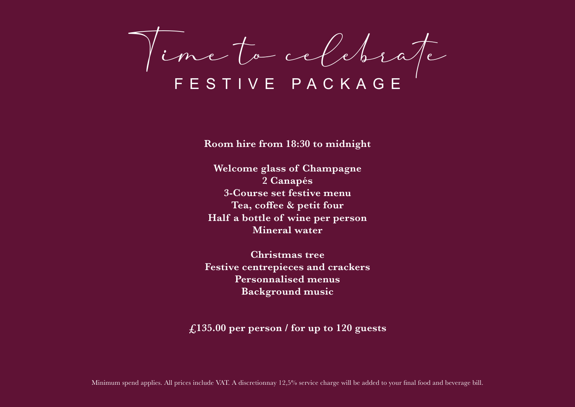Time to celebrate

**Room hire from 18:30 to midnight**

**Welcome glass of Champagne 2 Canapés 3-Course set festive menu Tea, coffee & petit four Half a bottle of wine per person Mineral water**

**Christmas tree Festive centrepieces and crackers Personnalised menus Background music**

**£135.00 per person / for up to 120 guests**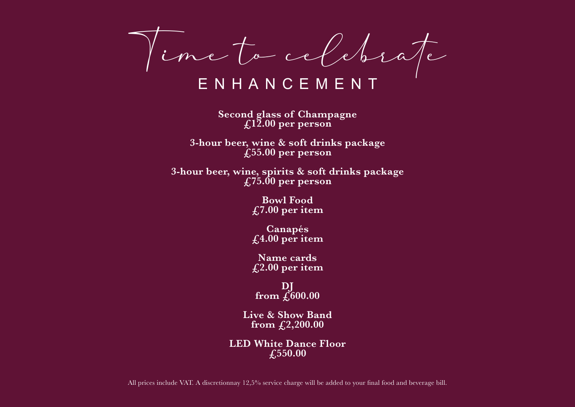Vinc to celebrate

**Second glass of Champagne £12.00 per person**

**3-hour beer, wine & soft drinks package £55.00 per person**

**3-hour beer, wine, spirits & soft drinks package £75.00 per person**

> **Bowl Food £7.00 per item**

> **Canapés £4.00 per item**

> **Name cards £2.00 per item**

**DJ from £600.00**

**Live & Show Band from £2,200.00**

**LED White Dance Floor £550.00**